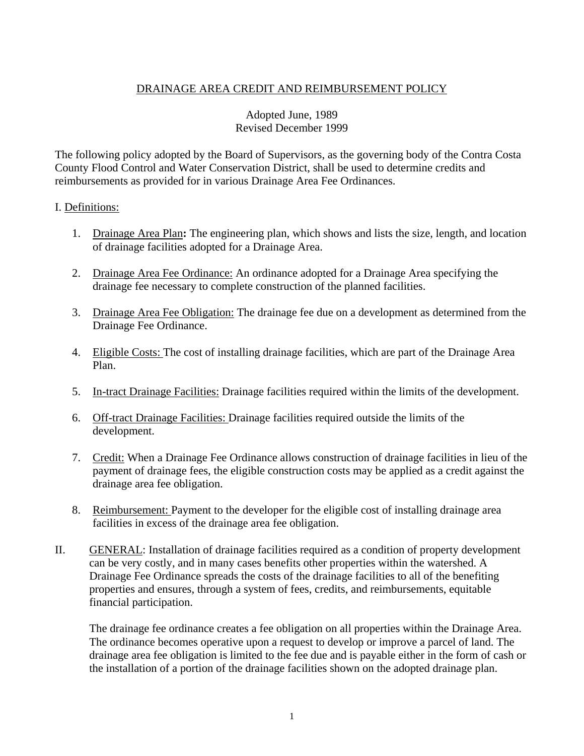## DRAINAGE AREA CREDIT AND REIMBURSEMENT POLICY

## Adopted June, 1989 Revised December 1999

The following policy adopted by the Board of Supervisors, as the governing body of the Contra Costa County Flood Control and Water Conservation District, shall be used to determine credits and reimbursements as provided for in various Drainage Area Fee Ordinances.

## I. Definitions:

- 1. Drainage Area Plan**:** The engineering plan, which shows and lists the size, length, and location of drainage facilities adopted for a Drainage Area.
- 2. Drainage Area Fee Ordinance: An ordinance adopted for a Drainage Area specifying the drainage fee necessary to complete construction of the planned facilities.
- 3. Drainage Area Fee Obligation: The drainage fee due on a development as determined from the Drainage Fee Ordinance.
- 4. Eligible Costs: The cost of installing drainage facilities, which are part of the Drainage Area Plan.
- 5. In-tract Drainage Facilities: Drainage facilities required within the limits of the development.
- 6. Off-tract Drainage Facilities: Drainage facilities required outside the limits of the development.
- 7. Credit: When a Drainage Fee Ordinance allows construction of drainage facilities in lieu of the payment of drainage fees, the eligible construction costs may be applied as a credit against the drainage area fee obligation.
- 8. Reimbursement: Payment to the developer for the eligible cost of installing drainage area facilities in excess of the drainage area fee obligation.
- II. GENERAL: Installation of drainage facilities required as a condition of property development can be very costly, and in many cases benefits other properties within the watershed. A Drainage Fee Ordinance spreads the costs of the drainage facilities to all of the benefiting properties and ensures, through a system of fees, credits, and reimbursements, equitable financial participation.

The drainage fee ordinance creates a fee obligation on all properties within the Drainage Area. The ordinance becomes operative upon a request to develop or improve a parcel of land. The drainage area fee obligation is limited to the fee due and is payable either in the form of cash or the installation of a portion of the drainage facilities shown on the adopted drainage plan.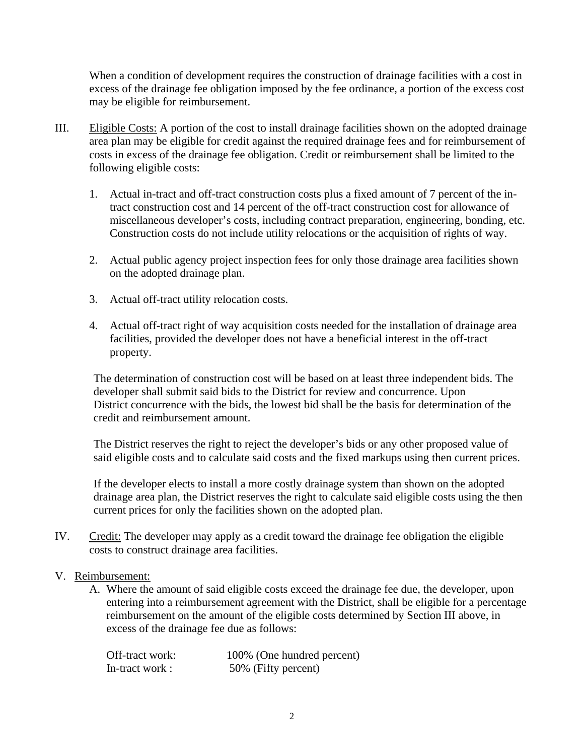When a condition of development requires the construction of drainage facilities with a cost in excess of the drainage fee obligation imposed by the fee ordinance, a portion of the excess cost may be eligible for reimbursement.

- III. Eligible Costs: A portion of the cost to install drainage facilities shown on the adopted drainage area plan may be eligible for credit against the required drainage fees and for reimbursement of costs in excess of the drainage fee obligation. Credit or reimbursement shall be limited to the following eligible costs:
	- 1. Actual in-tract and off-tract construction costs plus a fixed amount of 7 percent of the intract construction cost and 14 percent of the off-tract construction cost for allowance of miscellaneous developer's costs, including contract preparation, engineering, bonding, etc. Construction costs do not include utility relocations or the acquisition of rights of way.
	- 2. Actual public agency project inspection fees for only those drainage area facilities shown on the adopted drainage plan.
	- 3. Actual off-tract utility relocation costs.
	- 4. Actual off-tract right of way acquisition costs needed for the installation of drainage area facilities, provided the developer does not have a beneficial interest in the off-tract property.

The determination of construction cost will be based on at least three independent bids. The developer shall submit said bids to the District for review and concurrence. Upon District concurrence with the bids, the lowest bid shall be the basis for determination of the credit and reimbursement amount.

The District reserves the right to reject the developer's bids or any other proposed value of said eligible costs and to calculate said costs and the fixed markups using then current prices.

If the developer elects to install a more costly drainage system than shown on the adopted drainage area plan, the District reserves the right to calculate said eligible costs using the then current prices for only the facilities shown on the adopted plan.

- IV. Credit: The developer may apply as a credit toward the drainage fee obligation the eligible costs to construct drainage area facilities.
- V. Reimbursement:
	- A. Where the amount of said eligible costs exceed the drainage fee due, the developer, upon entering into a reimbursement agreement with the District, shall be eligible for a percentage reimbursement on the amount of the eligible costs determined by Section III above, in excess of the drainage fee due as follows:

| Off-tract work: | 100% (One hundred percent) |
|-----------------|----------------------------|
| In-tract work:  | 50% (Fifty percent)        |